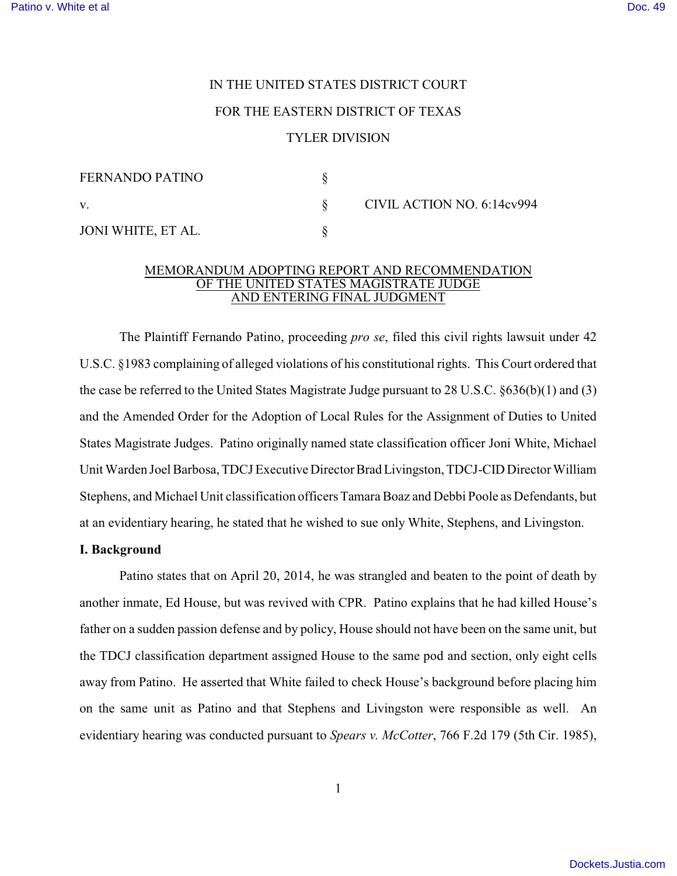# IN THE UNITED STATES DISTRICT COURT FOR THE EASTERN DISTRICT OF TEXAS TYLER DIVISION

| <b>FERNANDO PATINO</b> |                            |
|------------------------|----------------------------|
| V.                     | CIVIL ACTION NO. 6:14cv994 |
| JONI WHITE, ET AL.     |                            |

### MEMORANDUM ADOPTING REPORT AND RECOMMENDATION OF THE UNITED STATES MAGISTRATE JUDGE AND ENTERING FINAL JUDGMENT

The Plaintiff Fernando Patino, proceeding *pro se*, filed this civil rights lawsuit under 42 U.S.C. §1983 complaining of alleged violations of his constitutional rights. This Court ordered that the case be referred to the United States Magistrate Judge pursuant to 28 U.S.C. §636(b)(1) and (3) and the Amended Order for the Adoption of Local Rules for the Assignment of Duties to United States Magistrate Judges. Patino originally named state classification officer Joni White, Michael Unit Warden Joel Barbosa, TDCJ Executive Director Brad Livingston, TDCJ-CID Director William Stephens, and Michael Unit classification officers Tamara Boaz and Debbi Poole as Defendants, but at an evidentiary hearing, he stated that he wished to sue only White, Stephens, and Livingston.

# **I. Background**

Patino states that on April 20, 2014, he was strangled and beaten to the point of death by another inmate, Ed House, but was revived with CPR. Patino explains that he had killed House's father on a sudden passion defense and by policy, House should not have been on the same unit, but the TDCJ classification department assigned House to the same pod and section, only eight cells away from Patino. He asserted that White failed to check House's background before placing him on the same unit as Patino and that Stephens and Livingston were responsible as well. An evidentiary hearing was conducted pursuant to *Spears v. McCotter*, 766 F.2d 179 (5th Cir. 1985),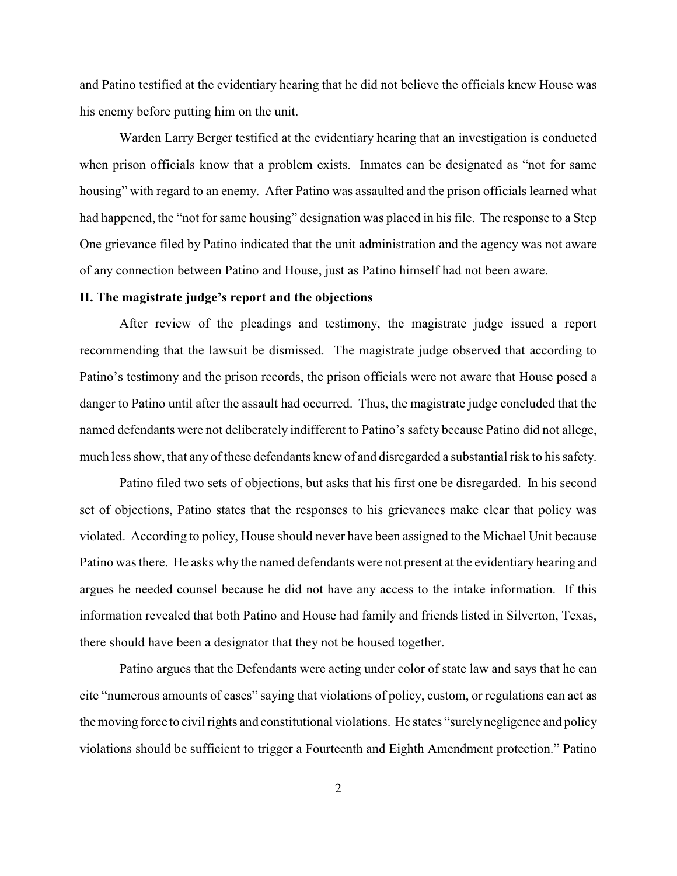and Patino testified at the evidentiary hearing that he did not believe the officials knew House was his enemy before putting him on the unit.

Warden Larry Berger testified at the evidentiary hearing that an investigation is conducted when prison officials know that a problem exists. Inmates can be designated as "not for same" housing" with regard to an enemy. After Patino was assaulted and the prison officials learned what had happened, the "not for same housing" designation was placed in his file. The response to a Step One grievance filed by Patino indicated that the unit administration and the agency was not aware of any connection between Patino and House, just as Patino himself had not been aware.

### **II. The magistrate judge's report and the objections**

After review of the pleadings and testimony, the magistrate judge issued a report recommending that the lawsuit be dismissed. The magistrate judge observed that according to Patino's testimony and the prison records, the prison officials were not aware that House posed a danger to Patino until after the assault had occurred. Thus, the magistrate judge concluded that the named defendants were not deliberately indifferent to Patino's safety because Patino did not allege, much less show, that any of these defendants knew of and disregarded a substantial risk to his safety.

Patino filed two sets of objections, but asks that his first one be disregarded. In his second set of objections, Patino states that the responses to his grievances make clear that policy was violated. According to policy, House should never have been assigned to the Michael Unit because Patino was there. He asks why the named defendants were not present at the evidentiary hearing and argues he needed counsel because he did not have any access to the intake information. If this information revealed that both Patino and House had family and friends listed in Silverton, Texas, there should have been a designator that they not be housed together.

Patino argues that the Defendants were acting under color of state law and says that he can cite "numerous amounts of cases" saying that violations of policy, custom, or regulations can act as the moving force to civil rights and constitutional violations. He states "surely negligence and policy violations should be sufficient to trigger a Fourteenth and Eighth Amendment protection." Patino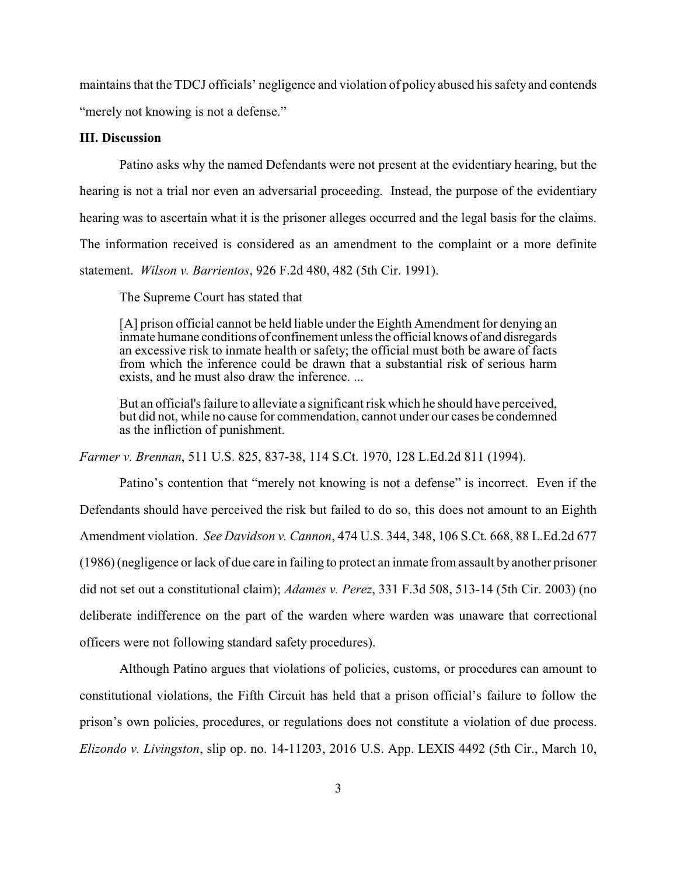maintains that the TDCJ officials' negligence and violation of policy abused his safety and contends "merely not knowing is not a defense."

#### **III. Discussion**

Patino asks why the named Defendants were not present at the evidentiary hearing, but the hearing is not a trial nor even an adversarial proceeding. Instead, the purpose of the evidentiary hearing was to ascertain what it is the prisoner alleges occurred and the legal basis for the claims. The information received is considered as an amendment to the complaint or a more definite statement. *Wilson v. Barrientos*, 926 F.2d 480, 482 (5th Cir. 1991).

The Supreme Court has stated that

[A] prison official cannot be held liable under the Eighth Amendment for denying an inmate humane conditions of confinement unless the official knows of and disregards an excessive risk to inmate health or safety; the official must both be aware of facts from which the inference could be drawn that a substantial risk of serious harm exists, and he must also draw the inference. ...

But an official's failure to alleviate a significant risk which he should have perceived, but did not, while no cause for commendation, cannot under our cases be condemned as the infliction of punishment.

*Farmer v. Brennan*, 511 U.S. 825, 837-38, 114 S.Ct. 1970, 128 L.Ed.2d 811 (1994).

Patino's contention that "merely not knowing is not a defense" is incorrect. Even if the Defendants should have perceived the risk but failed to do so, this does not amount to an Eighth Amendment violation. *See Davidson v. Cannon*, 474 U.S. 344, 348, 106 S.Ct. 668, 88 L.Ed.2d 677 (1986) (negligence or lack of due care in failing to protect an inmate from assault by another prisoner did not set out a constitutional claim); *Adames v. Perez*, 331 F.3d 508, 513-14 (5th Cir. 2003) (no deliberate indifference on the part of the warden where warden was unaware that correctional officers were not following standard safety procedures).

Although Patino argues that violations of policies, customs, or procedures can amount to constitutional violations, the Fifth Circuit has held that a prison official's failure to follow the prison's own policies, procedures, or regulations does not constitute a violation of due process. *Elizondo v. Livingston*, slip op. no. 14-11203, 2016 U.S. App. LEXIS 4492 (5th Cir., March 10,